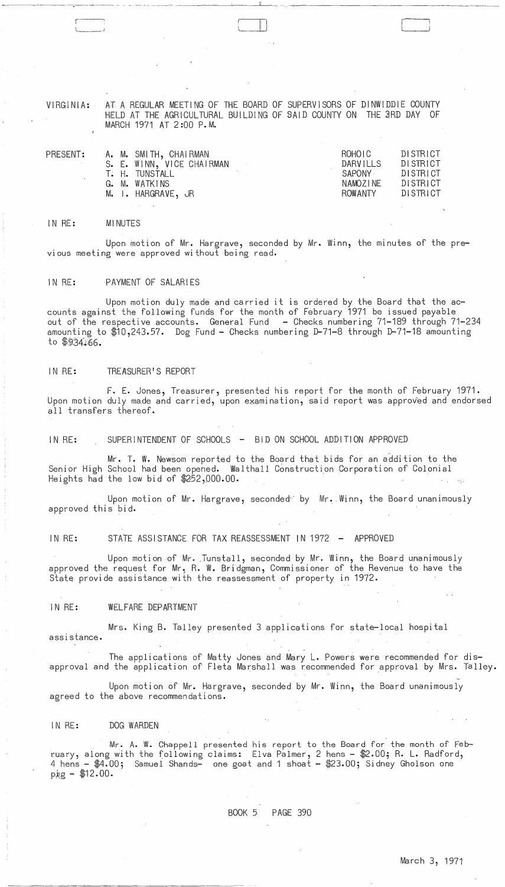VIRGINIA:

 $\overline{a}$ 

AT A REGULAR MEETING OF THE BOARD OF SUPERVISORS OF DINWIDDIE COUNTY HELD AT THE AGRICULTURAL BUILDING OF SAID COUNTY ON THE 3RD DAY OF MARCH 1971 AT 2:00 P.M.

.<br>اســــــا

| PRESENT: |  | A. M. SMITH, CHAIRMAN     | ROHOTC.  | DISTRICT<br>DI STRICT |
|----------|--|---------------------------|----------|-----------------------|
|          |  | S. E. WINN, VICE CHAIRMAN | DARVILLS |                       |
|          |  | T. H. TUNSTALL            | SAPONY - | DISTRICT              |
|          |  | G. M. WATKINS             | NAMOZINE | DISTRICT              |
|          |  | M. I. HARGRAVE, JR        | ROWANTY  | DISTRICT              |
|          |  |                           |          |                       |

#### IN RE: MINUTES

Upon motion of Mr. Hargrave, seconded by Mr. Winn, the minutes of the previous meeting were approved without being read.

## IN RE: PAYMENT OF SALARIES

Upon motion duly made and carried it is ordered by the Board that the accounts against the following funds for the month of February 1971 be issued payable out of the respective accounts. General Fund - Checks numbering 71-189 through 71-234 amounting to \$10,243.57. Dog Fund - Checks numbering D-71-8 through D-71-18 amounting to  $$934.66.$ 

# IN RE: TREASURER'S REPORT

F. E. Jones, Treasurer, presented his report for the month of February 1971. Upon motion duly made and carried, upon examination, said report was approved and endorsed all transfers thereof.

IN RE: SUPERINTENDENT OF SCHOOLS - BID ON SCHOOL ADDITION APPROVED

Mr. T. W. Newsom reported to the Board that bids for an addition to the Senior High School had been opened. Walthall Construction Corporation of Colonial Heights had the low bid of  $$252,000.00$ .

Upon motion of Mr. Hargrave, seconded<sup>e</sup> by Mr. Winn, the Board unanimously approved this bid.

IN RE: STATE ASSISTANCE FOR TAX REASSESSMENT IN 1972 - APPROVED

Upon motion of Mr. ,Tunstall, seconded by Mr. Winn, the Board unanimously approved the request for Mr. R. W. Bridgman, Commissioner of the Revenue to have the State provide assistance with the reassessment of property in 1972.

#### IN RE: WELFARE DEPARTMENT

Mrs. King B. Talley presented 3 applications for state-local hospi tal assistance.

The applications of Matty Jones and Mary L. Powers were recommended for disapproval and the application of Fleta Marshall was recommended for approval by Mrs. Talley.

Upon motion of Mr. Hargrave, seconded by Mr. Winn, the Board unanimously agreed to the above recommendations.

#### IN RE: DOG WARDEN

Mr. A. W. Chappell presented his report to the Board for the month of February, along with the following claims: Elva Palmer, 2 hens - \$2.00; R. L. Radford, 4 hens - \$4.00; Samuel Shands- one goat and 1 shoat - \$23.00; Sidney Gholson one  $pig - $12.00$ .

 $\mathcal{P}$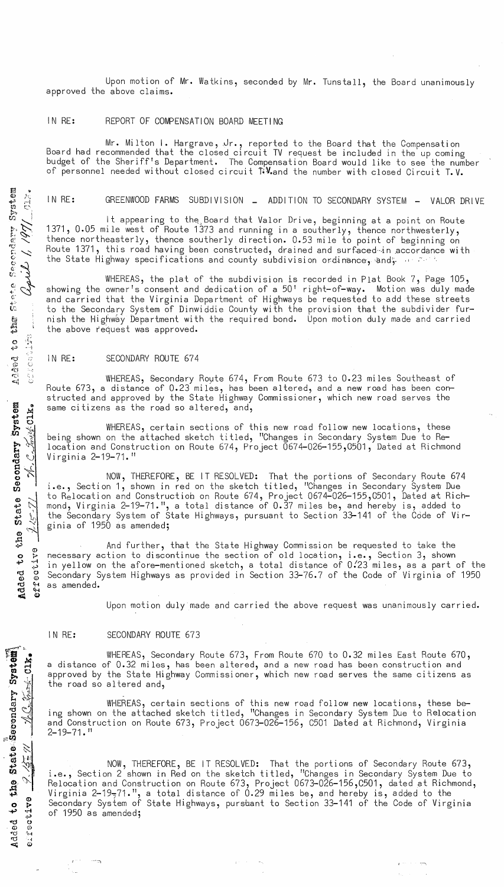Upon motion of Mr. Watkins, seconded by Mr. Tunstall, the Board unanimously approved the above claims.

## IN RE: REPORT OF COMPENSATION BOARD MEETING

Mr. Milton I. Hargrave, ,Jr., reported to the Board that the Compensation Board had recommended that the closed circuit TV request be included in the up coming budget of the Sheriff's Department. The Compensation Board would like to see the number of personnel needed without closed circuit T.V. and the number with closed Circuit T.V.

# IN RE: GREENWOOD FARMS SUBDIVISION \_ ADDITION TO SECONDARY SYSTEM - VALOR DRIVE

It appearing to the Board that Valor Drive, beginning at a point on Route 1371, 0.05 mile west of Route 1373 and running in a southerly, thence northwesterly, thence northeasterly, thence southerly direction. 0.53 mile to point of beginning on Route 1371, this road having been constructed, drained and surfaced in accordance with the State Highway specifications and county subdivision ordinance, and, we are  $\ell$ 

WHEREAS, the plat of the subdivision is recorded in Plat Book 7, Page 105, showing the owner's consent and dedication of a  $50'$  right-of-way. Motion was duly made and carried that the Virginia Department of Highways be requested to add these streets to the Secondary System of Dinwiddie County with the provision that the subdivider furnish the Highway Department with the required bond. Upon motion duly made and carried the above request was approved.

## IN RE: SECONDARY ROUTE 674

WHEREAS, §econdary Royte 674, From Route 673 to 0.23 miles Southeast of Route 673, a distance of 0.23 miles, has been altered, and a new road has been constructed and approved by the State Highway Commissioner, which new road serves the same citizens as the road so altered, and,

WHEREAS, certain sections of this new road follow new locations, these being shown on the attached sketch titled, "Changes in Secondary System Due to Relocation and Construction on Route 674, Project 0674-026-155,0501, Dated at Richmond Virginia 2-19-71."

NOW, THEREFORE, BE IT RESOLVED: That the portions of Secondary Route 674 i.e., Section 1, shown in red on the sketch titled, IIChanges in Secondary System Due to Relocation and Construction on Route 674, Project 0674-026-155,0501, Dated at Richmond, Virginia 2-19-71.", a total distance of 0.37 miles be, and hereby is, added to the Secondary System of State Highways, pursuant to Section 33-141 of the Code of Virginia of  $1950$  as amended;

And further, that the State Highway Commission be requested to take the <sup>o</sup>~ necessary action to discontinue the section of old location, i.e., Section 3, shown  $\ddot{}$   $\ddot{}$  in yellow on the afore-mentioned sketch, a total distance of 0.23 miles, as a part of the <sup>~</sup>g Secondary System Highways as provided in Section 33-76.7 of the Code of Virginia of 1950 recessary<br>Sin yellow c<br>C Secondary S<br>M as amended.

Upon motion duly made and carried the above request was unanimously carried.

## IN RE: SECONDARY ROUTE 673

WHEREAS, Secondary Route 673, From Route 670 to 0.32 miles East Route 670, a distance of 0.32 miles, has been altered, and a new road has been construction and approved by the State Highway Commissioner, which new road serves the same citizens as the road so altered and,

WHEREAS, certain sections of this new road follow new locations, these being shown on the attached sketch titled, "Changes in Secondary System Due to Relocation and Construction on Route 673, Project 0673-026-156, C501 Dated at Richmond, Virginia  $2 - 19 - 71.$  "

NOW, THEREFORE, BE IT RESOLVED: That the portions of Secondary Route 673, i.e., Section 2 shown in Red on the sketch titled, "Changes in Secondary System Due to Relocation and Construction on Route 673, Project 0673-026-156,C501, dated at Richmond, Virginia  $2-19-71$ .", a total distance of 0.29 miles be, and hereby is, added to the Secondary System of State Highways, pursuant to Section 33-141 of the Code of Virginia of 1950 as amended;

\_ . .,., ---,

 $\widehat{\pi}$  .  $^{\circ}$   $\overline{a}$   $\;$  . ~ r-1 17l 0 »,

ty<br>امن مطلع<br>المخطوط

 $\frac{a}{2}$   $\in$  $\frac{3}{2}$ 

 $\frac{1}{2}$   $\frac{1}{2}$ 

o,  ${\mathcal N}$  .  $\mathbf{r}_\mathbf{t}$ CD 0 t-  $+$   $+$ ~.;..)  $\sim$  0 e<br>d ';<br>-~ *<sup>Q</sup>*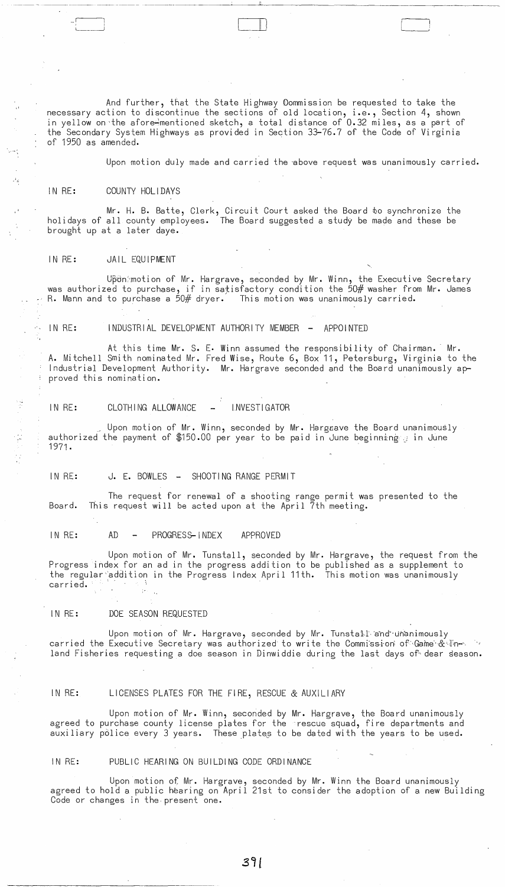And further, that the State Highway Oommission be requested to take the necessary action to discontinue the sections of old location, i.e., Section 4, shown in yellow on the afore mentioned sketch, a total distance of 0.32 miles, as a part of the Secondary System Highways as provided in Section 33-76.7 of the Code of Virginia of 1950 as amended.

 $\Box$ 

Upon motion duly made and carried the above request was unanimously carried.

#### IN RE: COUNTY HOLI DAYS

. ';:

经工资 网络阿拉伯

Mr. H. B. Batte, Clerk, Circuit Court asked the Board to synchronize the holidays of all county employees. The Board suggested a study be made and these be brought up at a later daye.

## IN RE: JAIL EQUIPMENT

Upon: motion of Mr. Hargrave, seconded by Mr. Winn, the Executive Secretary was authorized to purchase, if in satisfactory condition the 50# washer from Mr. James<br>R. Mann and to purchase a 50# dryer. This motion was unanimously carried.

IN RE: INDUSTRIAL DEVELOPMENT AUTHORITY MEMBER - APPOINTED

At this time Mr. S. E. Winn assumed the responsibility of Chairman. Mr. A. Mitchell Smith nominated Mr. Fred Wise, Route 6, Box 11, Petersburg, Virginia to the Industrial Development Authority. Mr. Hargrave seconded and the Board unanimously approved this nomination.

## IN RE: CLOTHING ALLOWANCE - INVESTIGATOR

Upon motion of Mr. Winn, seconded by Mr. Hargwave the Board unanimously authorized the payment of \$150.00 per year to be paid in June beginning a in June 1971.

## IN RE: J. E. BOWLES - SHOOTING RANGE PERMIT

The request for renewal of a shooting range permit was presented to the Board. This request will be acted upon at the April 7th meeting.

#### IN RE: AD - PROGRESS-INDEX APPROVED

Upon motion of Mr. Tunstall, seconded by Mr. Hargrave, the request from the Progress index for an ad in the progress addition to be published as a supplement to the regular-'addition in the Progress Index April 11th. This motion was unanimously carried. ' -

## IN RE: DOE SEASON REQUESTED

Upon motion of Mr. Hargrave, seconded by Mr. Tunstall and unanimously carried the Executive Secretary was authorized to write the Commission of Game & linland Fisheries requesting a doe season in Dinwiddie during the last days of dear season.

# IN RE: LICENSES PLATES FOR THE FIRE, RESCUE & AUXILIARY

Upon motion of Mr. Winn, seconded by Mr. Hargrave, the Board unanimously agreed to purchase county license plates for the rescue squad, fire departments and auxiliary police every 3 years. These plates to be dated with the years to be used.

## IN RE: PUBLIC HEARING ON BUILDING CODE ORDINANCE

Upon motion of Mr. Hargrave, seconded by Mr. Winn the Board unanimously agreed to hold a public hearing on April 21st to consider the adoption of a new Building Code or changes in the· present one.